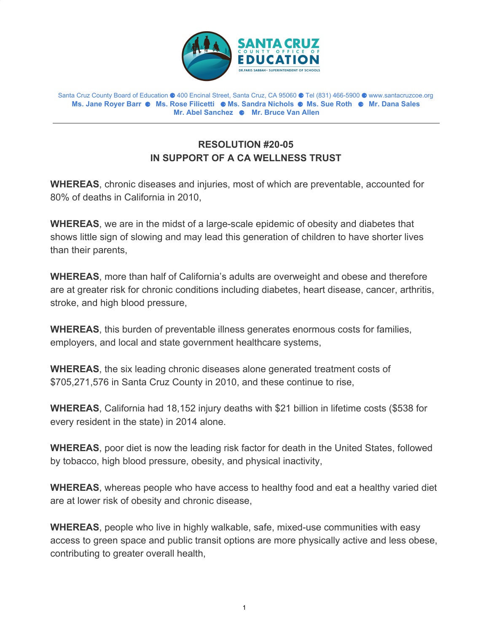

Santa Cruz County Board of Education ⚈ 400 Encinal Street, Santa Cruz, CA 95060 ⚈ Tel (831) 466-5900 ⚈ www.santacruzcoe.org **Ms. Jane Royer Barr** ⚈ **Ms. Rose Filicetti** ⚈ **Ms. Sandra Nichols** ⚈ **Ms. Sue Roth** ⚈ **Mr. Dana Sales Mr. Abel Sanchez** ⚈ **Mr. Bruce Van Allen**

## **RESOLUTION #20-05 IN SUPPORT OF A CA WELLNESS TRUST**

**WHEREAS**, chronic diseases and injuries, most of which are preventable, accounted for 80% of deaths in California in 2010,

**WHEREAS**, we are in the midst of a large-scale epidemic of obesity and diabetes that shows little sign of slowing and may lead this generation of children to have shorter lives than their parents,

**WHEREAS**, more than half of California's adults are overweight and obese and therefore are at greater risk for chronic conditions including diabetes, heart disease, cancer, arthritis, stroke, and high blood pressure,

**WHEREAS**, this burden of preventable illness generates enormous costs for families, employers, and local and state government healthcare systems,

**WHEREAS**, the six leading chronic diseases alone generated treatment costs of \$705,271,576 in Santa Cruz County in 2010, and these continue to rise,

**WHEREAS**, California had 18,152 injury deaths with \$21 billion in lifetime costs (\$538 for every resident in the state) in 2014 alone.

**WHEREAS**, poor diet is now the leading risk factor for death in the United States, followed by tobacco, high blood pressure, obesity, and physical inactivity,

**WHEREAS**, whereas people who have access to healthy food and eat a healthy varied diet are at lower risk of obesity and chronic disease,

**WHEREAS**, people who live in highly walkable, safe, mixed-use communities with easy access to green space and public transit options are more physically active and less obese, contributing to greater overall health,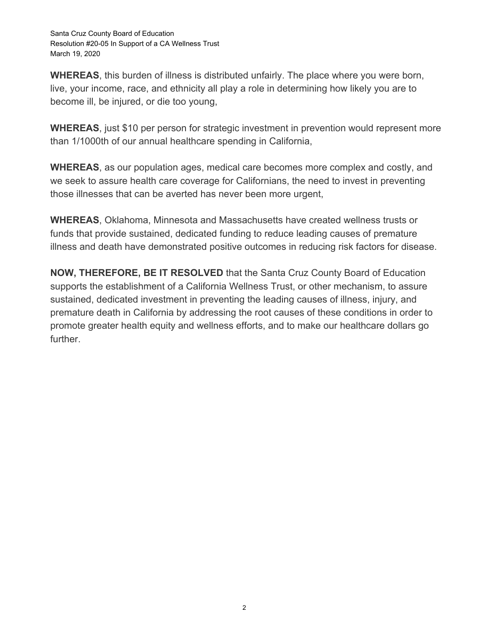**WHEREAS**, this burden of illness is distributed unfairly. The place where you were born, live, your income, race, and ethnicity all play a role in determining how likely you are to become ill, be injured, or die too young,

**WHEREAS**, just \$10 per person for strategic investment in prevention would represent more than 1/1000th of our annual healthcare spending in California,

**WHEREAS**, as our population ages, medical care becomes more complex and costly, and we seek to assure health care coverage for Californians, the need to invest in preventing those illnesses that can be averted has never been more urgent,

**WHEREAS**, Oklahoma, Minnesota and Massachusetts have created wellness trusts or funds that provide sustained, dedicated funding to reduce leading causes of premature illness and death have demonstrated positive outcomes in reducing risk factors for disease.

**NOW, THEREFORE, BE IT RESOLVED** that the Santa Cruz County Board of Education supports the establishment of a California Wellness Trust, or other mechanism, to assure sustained, dedicated investment in preventing the leading causes of illness, injury, and premature death in California by addressing the root causes of these conditions in order to promote greater health equity and wellness efforts, and to make our healthcare dollars go further.